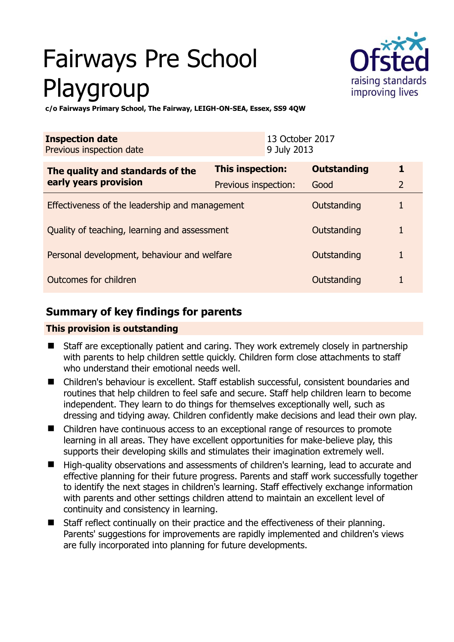# Fairways Pre School Playgroup



**c/o Fairways Primary School, The Fairway, LEIGH-ON-SEA, Essex, SS9 4QW** 

| 13 October 2017<br><b>Inspection date</b><br>Previous inspection date<br>9 July 2013 |                         |                    |                |
|--------------------------------------------------------------------------------------|-------------------------|--------------------|----------------|
| The quality and standards of the<br>early years provision                            | <b>This inspection:</b> | <b>Outstanding</b> | 1              |
|                                                                                      | Previous inspection:    | Good               | $\overline{2}$ |
| Effectiveness of the leadership and management                                       |                         | Outstanding        |                |
| Quality of teaching, learning and assessment                                         |                         | Outstanding        | 1              |
| Personal development, behaviour and welfare                                          |                         | Outstanding        |                |
| Outcomes for children                                                                |                         | Outstanding        |                |

# **Summary of key findings for parents**

## **This provision is outstanding**

- Staff are exceptionally patient and caring. They work extremely closely in partnership with parents to help children settle quickly. Children form close attachments to staff who understand their emotional needs well.
- Children's behaviour is excellent. Staff establish successful, consistent boundaries and routines that help children to feel safe and secure. Staff help children learn to become independent. They learn to do things for themselves exceptionally well, such as dressing and tidying away. Children confidently make decisions and lead their own play.
- Children have continuous access to an exceptional range of resources to promote learning in all areas. They have excellent opportunities for make-believe play, this supports their developing skills and stimulates their imagination extremely well.
- High-quality observations and assessments of children's learning, lead to accurate and effective planning for their future progress. Parents and staff work successfully together to identify the next stages in children's learning. Staff effectively exchange information with parents and other settings children attend to maintain an excellent level of continuity and consistency in learning.
- Staff reflect continually on their practice and the effectiveness of their planning. Parents' suggestions for improvements are rapidly implemented and children's views are fully incorporated into planning for future developments.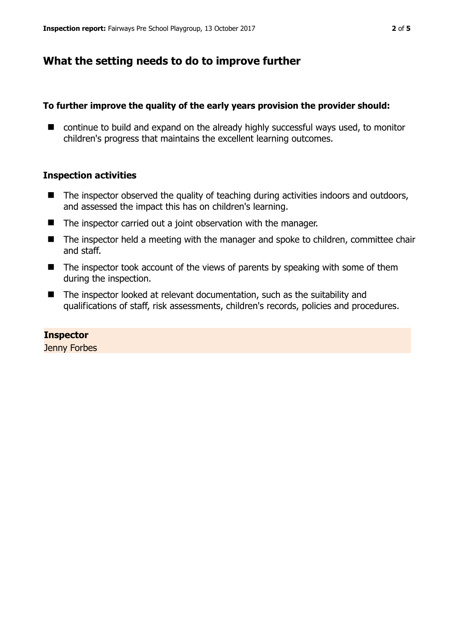## **What the setting needs to do to improve further**

### **To further improve the quality of the early years provision the provider should:**

■ continue to build and expand on the already highly successful ways used, to monitor children's progress that maintains the excellent learning outcomes.

### **Inspection activities**

- $\blacksquare$  The inspector observed the quality of teaching during activities indoors and outdoors, and assessed the impact this has on children's learning.
- The inspector carried out a joint observation with the manager.
- The inspector held a meeting with the manager and spoke to children, committee chair and staff.
- $\blacksquare$  The inspector took account of the views of parents by speaking with some of them during the inspection.
- The inspector looked at relevant documentation, such as the suitability and qualifications of staff, risk assessments, children's records, policies and procedures.

#### **Inspector**

Jenny Forbes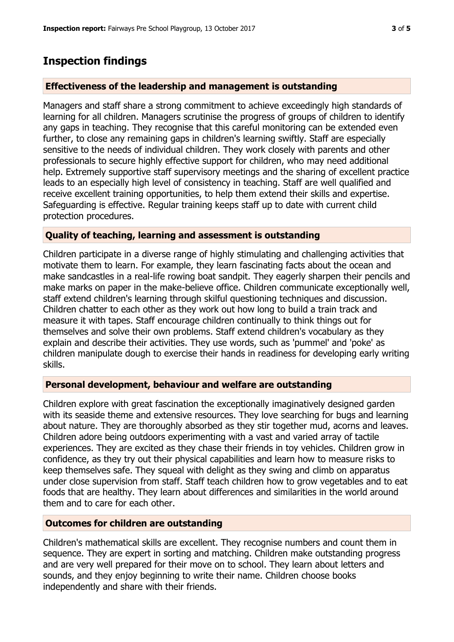## **Inspection findings**

## **Effectiveness of the leadership and management is outstanding**

Managers and staff share a strong commitment to achieve exceedingly high standards of learning for all children. Managers scrutinise the progress of groups of children to identify any gaps in teaching. They recognise that this careful monitoring can be extended even further, to close any remaining gaps in children's learning swiftly. Staff are especially sensitive to the needs of individual children. They work closely with parents and other professionals to secure highly effective support for children, who may need additional help. Extremely supportive staff supervisory meetings and the sharing of excellent practice leads to an especially high level of consistency in teaching. Staff are well qualified and receive excellent training opportunities, to help them extend their skills and expertise. Safeguarding is effective. Regular training keeps staff up to date with current child protection procedures.

## **Quality of teaching, learning and assessment is outstanding**

Children participate in a diverse range of highly stimulating and challenging activities that motivate them to learn. For example, they learn fascinating facts about the ocean and make sandcastles in a real-life rowing boat sandpit. They eagerly sharpen their pencils and make marks on paper in the make-believe office. Children communicate exceptionally well, staff extend children's learning through skilful questioning techniques and discussion. Children chatter to each other as they work out how long to build a train track and measure it with tapes. Staff encourage children continually to think things out for themselves and solve their own problems. Staff extend children's vocabulary as they explain and describe their activities. They use words, such as 'pummel' and 'poke' as children manipulate dough to exercise their hands in readiness for developing early writing skills.

## **Personal development, behaviour and welfare are outstanding**

Children explore with great fascination the exceptionally imaginatively designed garden with its seaside theme and extensive resources. They love searching for bugs and learning about nature. They are thoroughly absorbed as they stir together mud, acorns and leaves. Children adore being outdoors experimenting with a vast and varied array of tactile experiences. They are excited as they chase their friends in toy vehicles. Children grow in confidence, as they try out their physical capabilities and learn how to measure risks to keep themselves safe. They squeal with delight as they swing and climb on apparatus under close supervision from staff. Staff teach children how to grow vegetables and to eat foods that are healthy. They learn about differences and similarities in the world around them and to care for each other.

## **Outcomes for children are outstanding**

Children's mathematical skills are excellent. They recognise numbers and count them in sequence. They are expert in sorting and matching. Children make outstanding progress and are very well prepared for their move on to school. They learn about letters and sounds, and they enjoy beginning to write their name. Children choose books independently and share with their friends.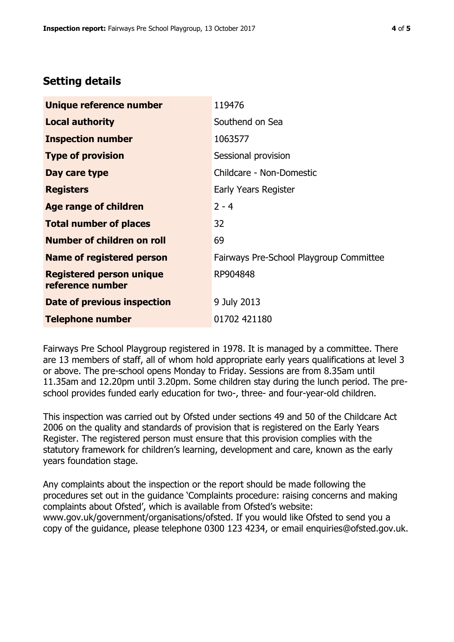## **Setting details**

| Unique reference number                             | 119476                                  |  |
|-----------------------------------------------------|-----------------------------------------|--|
| <b>Local authority</b>                              | Southend on Sea                         |  |
| <b>Inspection number</b>                            | 1063577                                 |  |
| <b>Type of provision</b>                            | Sessional provision                     |  |
| Day care type                                       | Childcare - Non-Domestic                |  |
| <b>Registers</b>                                    | Early Years Register                    |  |
| Age range of children                               | $2 - 4$                                 |  |
| <b>Total number of places</b>                       | 32                                      |  |
| <b>Number of children on roll</b>                   | 69                                      |  |
| <b>Name of registered person</b>                    | Fairways Pre-School Playgroup Committee |  |
| <b>Registered person unique</b><br>reference number | RP904848                                |  |
| Date of previous inspection                         | 9 July 2013                             |  |
| <b>Telephone number</b>                             | 01702 421180                            |  |

Fairways Pre School Playgroup registered in 1978. It is managed by a committee. There are 13 members of staff, all of whom hold appropriate early years qualifications at level 3 or above. The pre-school opens Monday to Friday. Sessions are from 8.35am until 11.35am and 12.20pm until 3.20pm. Some children stay during the lunch period. The preschool provides funded early education for two-, three- and four-year-old children.

This inspection was carried out by Ofsted under sections 49 and 50 of the Childcare Act 2006 on the quality and standards of provision that is registered on the Early Years Register. The registered person must ensure that this provision complies with the statutory framework for children's learning, development and care, known as the early years foundation stage.

Any complaints about the inspection or the report should be made following the procedures set out in the guidance 'Complaints procedure: raising concerns and making complaints about Ofsted', which is available from Ofsted's website: www.gov.uk/government/organisations/ofsted. If you would like Ofsted to send you a copy of the guidance, please telephone 0300 123 4234, or email enquiries@ofsted.gov.uk.